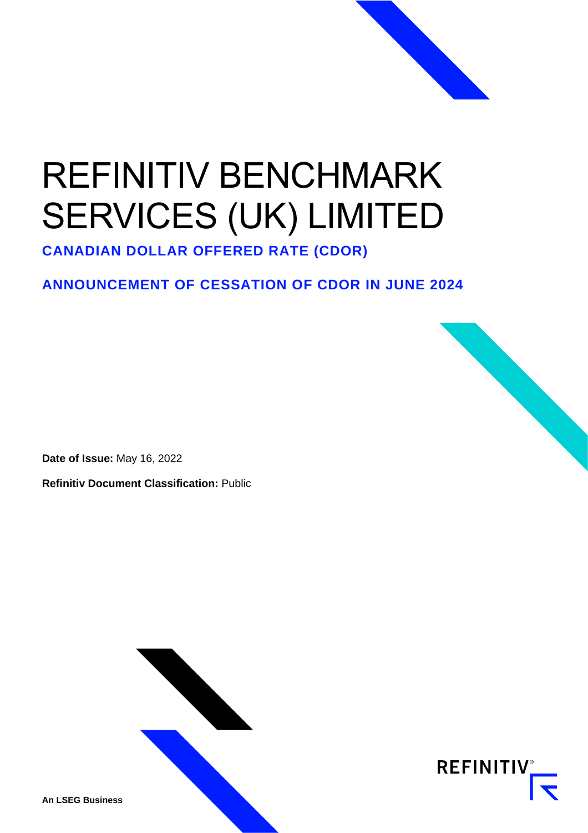## REFINITIV BENCHMARK SERVICES (UK) LIMITED

**CANADIAN DOLLAR OFFERED RATE (CDOR)**

## **ANNOUNCEMENT OF CESSATION OF CDOR IN JUNE 2024**

**Date of Issue:** May 16, 2022

**Refinitiv Document Classification:** Public



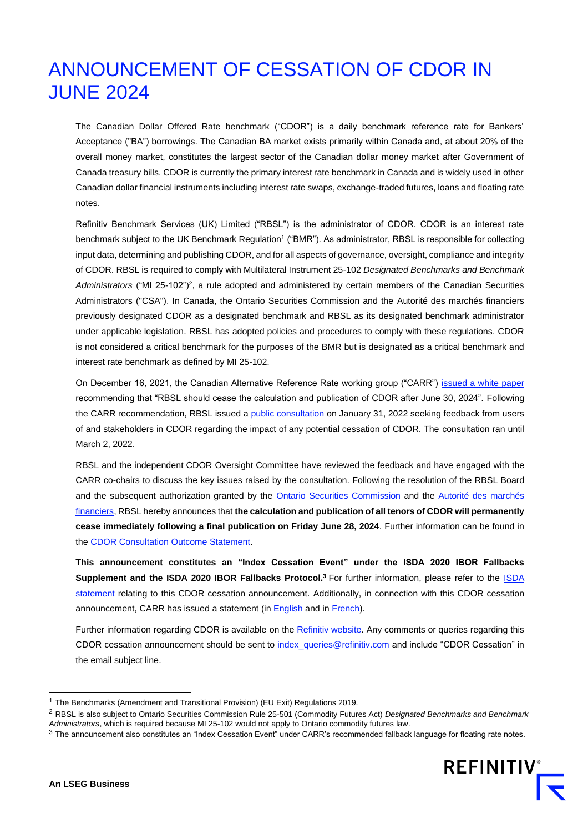## ANNOUNCEMENT OF CESSATION OF CDOR IN JUNE 2024

The Canadian Dollar Offered Rate benchmark ("CDOR") is a daily benchmark reference rate for Bankers' Acceptance ("BA") borrowings. The Canadian BA market exists primarily within Canada and, at about 20% of the overall money market, constitutes the largest sector of the Canadian dollar money market after Government of Canada treasury bills. CDOR is currently the primary interest rate benchmark in Canada and is widely used in other Canadian dollar financial instruments including interest rate swaps, exchange-traded futures, loans and floating rate notes.

Refinitiv Benchmark Services (UK) Limited ("RBSL") is the administrator of CDOR. CDOR is an interest rate benchmark subject to the UK Benchmark Regulation<sup>1</sup> ("BMR"). As administrator, RBSL is responsible for collecting input data, determining and publishing CDOR, and for all aspects of governance, oversight, compliance and integrity of CDOR. RBSL is required to comply with Multilateral Instrument 25-102 *Designated Benchmarks and Benchmark*  Administrators ("MI 25-102")<sup>2</sup>, a rule adopted and administered by certain members of the Canadian Securities Administrators ("CSA"). In Canada, the Ontario Securities Commission and the Autorité des marchés financiers previously designated CDOR as a designated benchmark and RBSL as its designated benchmark administrator under applicable legislation. RBSL has adopted policies and procedures to comply with these regulations. CDOR is not considered a critical benchmark for the purposes of the BMR but is designated as a critical benchmark and interest rate benchmark as defined by MI 25-102.

On December 16, 2021, the Canadian Alternative Reference Rate working group ("CARR") [issued a white paper](https://www.bankofcanada.ca/2021/12/carr-publishes-white-paper-recommended-future-cdor) recommending that "RBSL should cease the calculation and publication of CDOR after June 30, 2024". Following the CARR recommendation, RBSL issued a [public consultation](https://www.refinitiv.com/content/dam/marketing/en_us/documents/methodology/future-of-cdor-consultation.pdf) on January 31, 2022 seeking feedback from users of and stakeholders in CDOR regarding the impact of any potential cessation of CDOR. The consultation ran until March 2, 2022.

RBSL and the independent CDOR Oversight Committee have reviewed the feedback and have engaged with the CARR co-chairs to discuss the key issues raised by the consultation. Following the resolution of the RBSL Board and the subsequent authorization granted by the [Ontario Securities Commission](https://www.osc.ca/en/securities-law/orders-rulings-decisions/canadian-dollar-offered-rate-and-refinitiv-benchmark-services-uk-limited-1) and the [Autorité des marchés](https://lautorite.qc.ca/en/professionals/market-structures/designated-benchmarks-and-benchmarks-administrators)  [financiers,](https://lautorite.qc.ca/en/professionals/market-structures/designated-benchmarks-and-benchmarks-administrators) RBSL hereby announces that **the calculation and publication of all tenors of CDOR will permanently cease immediately following a final publication on Friday June 28, 2024**. Further information can be found in th[e CDOR Consultation Outcome Statement.](https://www.refinitiv.com/content/dam/marketing/en_us/documents/methodology/cdor-outcome-statement.pdf)

**This announcement constitutes an "Index Cessation Event" under the ISDA 2020 IBOR Fallbacks Supplement and the [ISDA](https://www.isda.org/2022/05/16/isda-statement-on-rbsl-cdor-announcement/) 2020 IBOR Fallbacks Protocol.<sup>3</sup> For further information, please refer to the ISDA** [statement](https://www.isda.org/2022/05/16/isda-statement-on-rbsl-cdor-announcement/) relating to this CDOR cessation announcement. Additionally, in connection with this CDOR cessation announcement, CARR has issued a statement (in **English** and in **French**).

Further information regarding CDOR is available on the [Refinitiv website.](https://www.refinitiv.com/en/financial-data/financial-benchmarks/interest-rate-benchmarks/canadian-interest-rates) Any comments or queries regarding this CDOR cessation announcement should be sent t[o index\\_queries@refinitiv.com](mailto:index_queries@refinitiv.com) and include "CDOR Cessation" in the email subject line.

<sup>1</sup> The Benchmarks (Amendment and Transitional Provision) (EU Exit) Regulations 2019.

<sup>2</sup> RBSL is also subject to Ontario Securities Commission Rule 25-501 (Commodity Futures Act) *Designated Benchmarks and Benchmark Administrators*, which is required because MI 25-102 would not apply to Ontario commodity futures law.

 $3$  The announcement also constitutes an "Index Cessation Event" under CARR's recommended fallback language for floating rate notes.